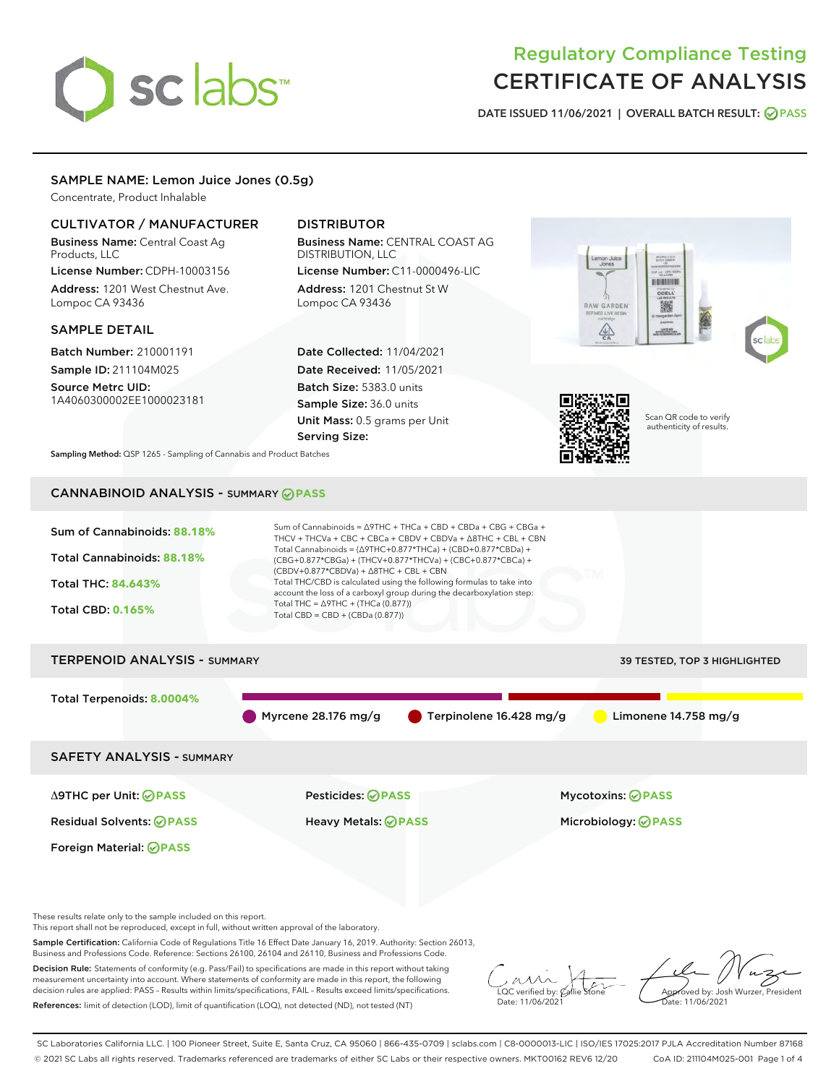# sclabs<sup>\*</sup>

# Regulatory Compliance Testing CERTIFICATE OF ANALYSIS

DATE ISSUED 11/06/2021 | OVERALL BATCH RESULT: @ PASS

# SAMPLE NAME: Lemon Juice Jones (0.5g)

Concentrate, Product Inhalable

# CULTIVATOR / MANUFACTURER

Business Name: Central Coast Ag Products, LLC

License Number: CDPH-10003156 Address: 1201 West Chestnut Ave. Lompoc CA 93436

#### SAMPLE DETAIL

Batch Number: 210001191 Sample ID: 211104M025

Source Metrc UID: 1A4060300002EE1000023181

# DISTRIBUTOR

Business Name: CENTRAL COAST AG DISTRIBUTION, LLC

License Number: C11-0000496-LIC Address: 1201 Chestnut St W Lompoc CA 93436

Date Collected: 11/04/2021 Date Received: 11/05/2021 Batch Size: 5383.0 units Sample Size: 36.0 units Unit Mass: 0.5 grams per Unit Serving Size:





Scan QR code to verify authenticity of results.

Sampling Method: QSP 1265 - Sampling of Cannabis and Product Batches

# CANNABINOID ANALYSIS - SUMMARY **PASS**



These results relate only to the sample included on this report.

This report shall not be reproduced, except in full, without written approval of the laboratory.

Sample Certification: California Code of Regulations Title 16 Effect Date January 16, 2019. Authority: Section 26013, Business and Professions Code. Reference: Sections 26100, 26104 and 26110, Business and Professions Code.

Decision Rule: Statements of conformity (e.g. Pass/Fail) to specifications are made in this report without taking measurement uncertainty into account. Where statements of conformity are made in this report, the following decision rules are applied: PASS – Results within limits/specifications, FAIL – Results exceed limits/specifications. References: limit of detection (LOD), limit of quantification (LOQ), not detected (ND), not tested (NT)

 $\overline{\text{C}}$  verified by:  $\mathcal C$ Date: 11/06/202<sup>1</sup>

Approved by: Josh Wurzer, President ate: 11/06/2021

SC Laboratories California LLC. | 100 Pioneer Street, Suite E, Santa Cruz, CA 95060 | 866-435-0709 | sclabs.com | C8-0000013-LIC | ISO/IES 17025:2017 PJLA Accreditation Number 87168 © 2021 SC Labs all rights reserved. Trademarks referenced are trademarks of either SC Labs or their respective owners. MKT00162 REV6 12/20 CoA ID: 211104M025-001 Page 1 of 4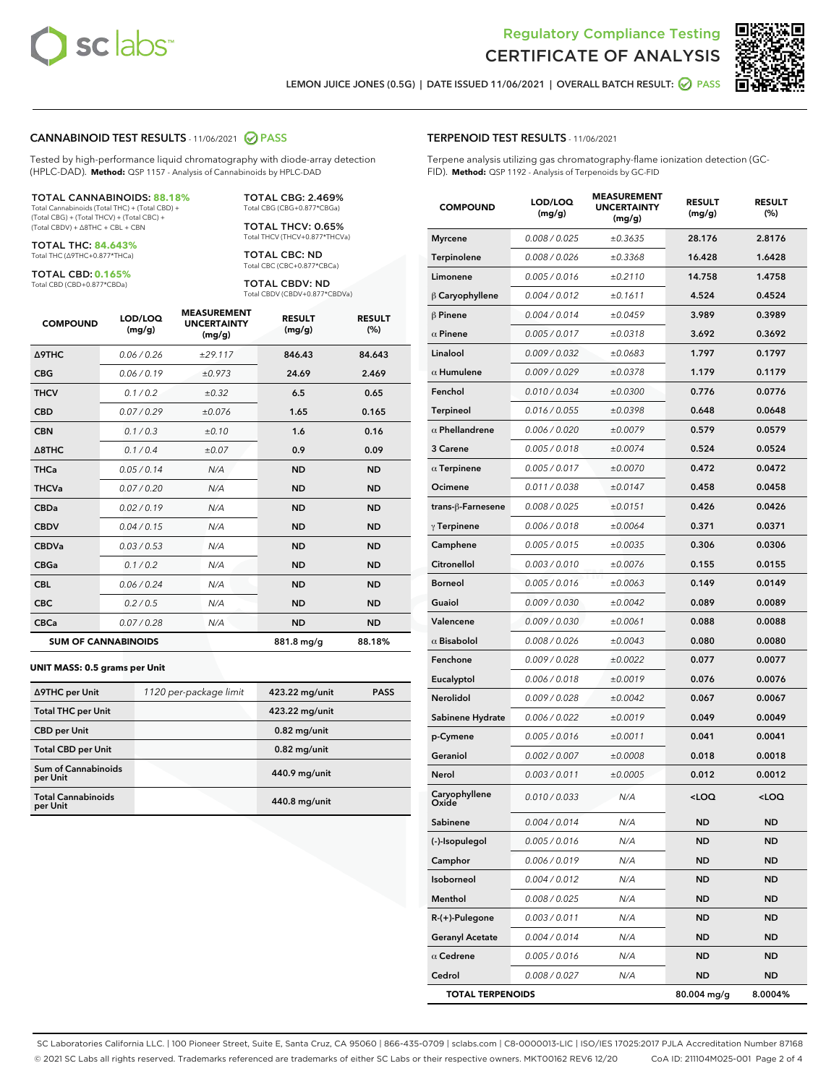



LEMON JUICE JONES (0.5G) | DATE ISSUED 11/06/2021 | OVERALL BATCH RESULT: ● PASS

#### CANNABINOID TEST RESULTS - 11/06/2021 2 PASS

Tested by high-performance liquid chromatography with diode-array detection (HPLC-DAD). **Method:** QSP 1157 - Analysis of Cannabinoids by HPLC-DAD

#### TOTAL CANNABINOIDS: **88.18%**

Total Cannabinoids (Total THC) + (Total CBD) + (Total CBG) + (Total THCV) + (Total CBC) + (Total CBDV) + ∆8THC + CBL + CBN

TOTAL THC: **84.643%** Total THC (∆9THC+0.877\*THCa)

TOTAL CBD: **0.165%** Total CBD (CBD+0.877\*CBDa)

Total CBG (CBG+0.877\*CBGa) TOTAL THCV: 0.65%

TOTAL CBG: 2.469%

Total THCV (THCV+0.877\*THCVa) TOTAL CBC: ND Total CBC (CBC+0.877\*CBCa)

TOTAL CBDV: ND Total CBDV (CBDV+0.877\*CBDVa)

| <b>COMPOUND</b>  | LOD/LOQ<br>(mg/g)          | <b>MEASUREMENT</b><br><b>UNCERTAINTY</b><br>(mg/g) | <b>RESULT</b><br>(mg/g) | <b>RESULT</b><br>(%) |
|------------------|----------------------------|----------------------------------------------------|-------------------------|----------------------|
| <b>A9THC</b>     | 0.06 / 0.26                | ±29.117                                            | 846.43                  | 84.643               |
| <b>CBG</b>       | 0.06/0.19                  | ±0.973                                             | 24.69                   | 2.469                |
| <b>THCV</b>      | 0.1/0.2                    | $\pm 0.32$                                         | 6.5                     | 0.65                 |
| <b>CBD</b>       | 0.07/0.29                  | ±0.076                                             | 1.65                    | 0.165                |
| <b>CBN</b>       | 0.1/0.3                    | ±0.10                                              | 1.6                     | 0.16                 |
| $\triangle$ 8THC | 0.1/0.4                    | ±0.07                                              | 0.9                     | 0.09                 |
| <b>THCa</b>      | 0.05/0.14                  | N/A                                                | <b>ND</b>               | <b>ND</b>            |
| <b>THCVa</b>     | 0.07/0.20                  | N/A                                                | <b>ND</b>               | <b>ND</b>            |
| <b>CBDa</b>      | 0.02/0.19                  | N/A                                                | <b>ND</b>               | <b>ND</b>            |
| <b>CBDV</b>      | 0.04 / 0.15                | N/A                                                | <b>ND</b>               | <b>ND</b>            |
| <b>CBDVa</b>     | 0.03/0.53                  | N/A                                                | <b>ND</b>               | <b>ND</b>            |
| <b>CBGa</b>      | 0.1/0.2                    | N/A                                                | <b>ND</b>               | <b>ND</b>            |
| <b>CBL</b>       | 0.06 / 0.24                | N/A                                                | <b>ND</b>               | <b>ND</b>            |
| <b>CBC</b>       | 0.2 / 0.5                  | N/A                                                | <b>ND</b>               | <b>ND</b>            |
| <b>CBCa</b>      | 0.07/0.28                  | N/A                                                | <b>ND</b>               | <b>ND</b>            |
|                  | <b>SUM OF CANNABINOIDS</b> |                                                    | 881.8 mg/g              | 88.18%               |

#### **UNIT MASS: 0.5 grams per Unit**

| ∆9THC per Unit                        | 1120 per-package limit | 423.22 mg/unit | <b>PASS</b> |
|---------------------------------------|------------------------|----------------|-------------|
| <b>Total THC per Unit</b>             |                        | 423.22 mg/unit |             |
| <b>CBD</b> per Unit                   |                        | $0.82$ mg/unit |             |
| <b>Total CBD per Unit</b>             |                        | $0.82$ mg/unit |             |
| Sum of Cannabinoids<br>per Unit       |                        | 440.9 mg/unit  |             |
| <b>Total Cannabinoids</b><br>per Unit |                        | 440.8 mg/unit  |             |

#### TERPENOID TEST RESULTS - 11/06/2021

Terpene analysis utilizing gas chromatography-flame ionization detection (GC-FID). **Method:** QSP 1192 - Analysis of Terpenoids by GC-FID

| <b>COMPOUND</b>         | LOD/LOQ<br>(mg/g) | <b>MEASUREMENT</b><br><b>UNCERTAINTY</b><br>(mg/g) | <b>RESULT</b><br>(mg/g)                         | <b>RESULT</b><br>(%) |
|-------------------------|-------------------|----------------------------------------------------|-------------------------------------------------|----------------------|
| <b>Myrcene</b>          | 0.008 / 0.025     | ±0.3635                                            | 28.176                                          | 2.8176               |
| Terpinolene             | 0.008 / 0.026     | ±0.3368                                            | 16.428                                          | 1.6428               |
| Limonene                | 0.005 / 0.016     | ±0.2110                                            | 14.758                                          | 1.4758               |
| $\beta$ Caryophyllene   | 0.004 / 0.012     | ±0.1611                                            | 4.524                                           | 0.4524               |
| $\beta$ Pinene          | 0.004 / 0.014     | ±0.0459                                            | 3.989                                           | 0.3989               |
| $\alpha$ Pinene         | 0.005 / 0.017     | ±0.0318                                            | 3.692                                           | 0.3692               |
| Linalool                | 0.009 / 0.032     | ±0.0683                                            | 1.797                                           | 0.1797               |
| $\alpha$ Humulene       | 0.009/0.029       | ±0.0378                                            | 1.179                                           | 0.1179               |
| Fenchol                 | 0.010 / 0.034     | ±0.0300                                            | 0.776                                           | 0.0776               |
| <b>Terpineol</b>        | 0.016 / 0.055     | ±0.0398                                            | 0.648                                           | 0.0648               |
| $\alpha$ Phellandrene   | 0.006 / 0.020     | ±0.0079                                            | 0.579                                           | 0.0579               |
| 3 Carene                | 0.005 / 0.018     | ±0.0074                                            | 0.524                                           | 0.0524               |
| $\alpha$ Terpinene      | 0.005 / 0.017     | ±0.0070                                            | 0.472                                           | 0.0472               |
| Ocimene                 | 0.011 / 0.038     | ±0.0147                                            | 0.458                                           | 0.0458               |
| trans-ß-Farnesene       | 0.008 / 0.025     | ±0.0151                                            | 0.426                                           | 0.0426               |
| $\gamma$ Terpinene      | 0.006 / 0.018     | ±0.0064                                            | 0.371                                           | 0.0371               |
| Camphene                | 0.005 / 0.015     | ±0.0035                                            | 0.306                                           | 0.0306               |
| Citronellol             | 0.003 / 0.010     | ±0.0076                                            | 0.155                                           | 0.0155               |
| Borneol                 | 0.005 / 0.016     | ±0.0063                                            | 0.149                                           | 0.0149               |
| Guaiol                  | 0.009 / 0.030     | ±0.0042                                            | 0.089                                           | 0.0089               |
| Valencene               | 0.009 / 0.030     | ±0.0061                                            | 0.088                                           | 0.0088               |
| $\alpha$ Bisabolol      | 0.008 / 0.026     | ±0.0043                                            | 0.080                                           | 0.0080               |
| Fenchone                | 0.009 / 0.028     | ±0.0022                                            | 0.077                                           | 0.0077               |
| Eucalyptol              | 0.006 / 0.018     | ±0.0019                                            | 0.076                                           | 0.0076               |
| Nerolidol               | 0.009 / 0.028     | ±0.0042                                            | 0.067                                           | 0.0067               |
| Sabinene Hydrate        | 0.006 / 0.022     | ±0.0019                                            | 0.049                                           | 0.0049               |
| p-Cymene                | 0.005 / 0.016     | ±0.0011                                            | 0.041                                           | 0.0041               |
| Geraniol                | 0.002 / 0.007     | ±0.0008                                            | 0.018                                           | 0.0018               |
| Nerol                   | 0.003 / 0.011     | ±0.0005                                            | 0.012                                           | 0.0012               |
| Caryophyllene<br>Oxiae  | 0.010 / 0.033     | N/A                                                | <loq< th=""><th><loq< th=""></loq<></th></loq<> | <loq< th=""></loq<>  |
| Sabinene                | 0.004 / 0.014     | N/A                                                | ND                                              | ND                   |
| (-)-Isopulegol          | 0.005 / 0.016     | N/A                                                | ND                                              | ND                   |
| Camphor                 | 0.006 / 0.019     | N/A                                                | <b>ND</b>                                       | ND                   |
| Isoborneol              | 0.004 / 0.012     | N/A                                                | ND                                              | ND                   |
| Menthol                 | 0.008 / 0.025     | N/A                                                | ND                                              | ND                   |
| R-(+)-Pulegone          | 0.003 / 0.011     | N/A                                                | <b>ND</b>                                       | ND                   |
| <b>Geranyl Acetate</b>  | 0.004 / 0.014     | N/A                                                | ND                                              | ND                   |
| $\alpha$ Cedrene        | 0.005 / 0.016     | N/A                                                | ND                                              | ND                   |
| Cedrol                  | 0.008 / 0.027     | N/A                                                | <b>ND</b>                                       | ND                   |
| <b>TOTAL TERPENOIDS</b> |                   |                                                    | 80.004 mg/g                                     | 8.0004%              |

SC Laboratories California LLC. | 100 Pioneer Street, Suite E, Santa Cruz, CA 95060 | 866-435-0709 | sclabs.com | C8-0000013-LIC | ISO/IES 17025:2017 PJLA Accreditation Number 87168 © 2021 SC Labs all rights reserved. Trademarks referenced are trademarks of either SC Labs or their respective owners. MKT00162 REV6 12/20 CoA ID: 211104M025-001 Page 2 of 4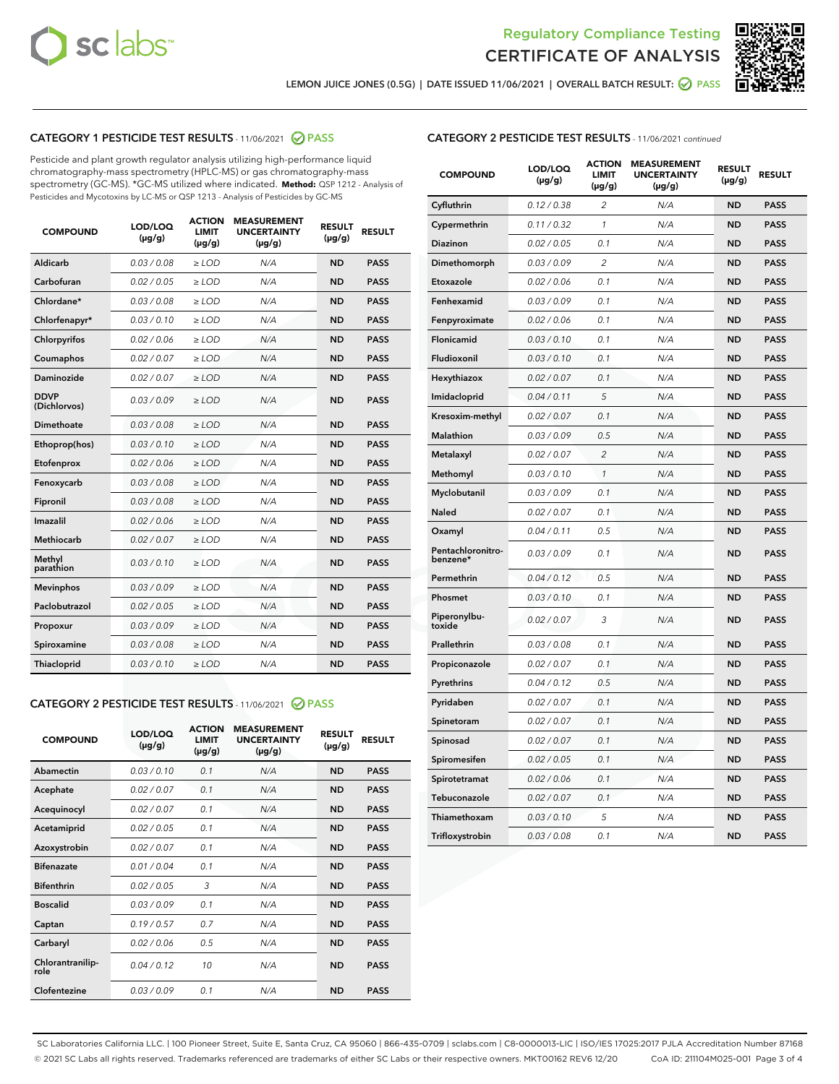



LEMON JUICE JONES (0.5G) | DATE ISSUED 11/06/2021 | OVERALL BATCH RESULT: @ PASS

# CATEGORY 1 PESTICIDE TEST RESULTS - 11/06/2021 2 PASS

Pesticide and plant growth regulator analysis utilizing high-performance liquid chromatography-mass spectrometry (HPLC-MS) or gas chromatography-mass spectrometry (GC-MS). \*GC-MS utilized where indicated. **Method:** QSP 1212 - Analysis of Pesticides and Mycotoxins by LC-MS or QSP 1213 - Analysis of Pesticides by GC-MS

| <b>COMPOUND</b>             | LOD/LOQ<br>$(\mu g/g)$ | <b>ACTION</b><br><b>LIMIT</b><br>$(\mu g/g)$ | <b>MEASUREMENT</b><br><b>UNCERTAINTY</b><br>$(\mu g/g)$ | <b>RESULT</b><br>$(\mu g/g)$ | <b>RESULT</b> |
|-----------------------------|------------------------|----------------------------------------------|---------------------------------------------------------|------------------------------|---------------|
| Aldicarb                    | 0.03/0.08              | $>$ LOD                                      | N/A                                                     | <b>ND</b>                    | <b>PASS</b>   |
| Carbofuran                  | 0.02 / 0.05            | $\ge$ LOD                                    | N/A                                                     | <b>ND</b>                    | <b>PASS</b>   |
| Chlordane*                  | 0.03 / 0.08            | $\ge$ LOD                                    | N/A                                                     | <b>ND</b>                    | <b>PASS</b>   |
| Chlorfenapyr*               | 0.03/0.10              | $\ge$ LOD                                    | N/A                                                     | <b>ND</b>                    | <b>PASS</b>   |
| Chlorpyrifos                | 0.02 / 0.06            | $\ge$ LOD                                    | N/A                                                     | <b>ND</b>                    | <b>PASS</b>   |
| Coumaphos                   | 0.02 / 0.07            | $\ge$ LOD                                    | N/A                                                     | <b>ND</b>                    | <b>PASS</b>   |
| Daminozide                  | 0.02/0.07              | $>$ LOD                                      | N/A                                                     | <b>ND</b>                    | <b>PASS</b>   |
| <b>DDVP</b><br>(Dichlorvos) | 0.03/0.09              | $\ge$ LOD                                    | N/A                                                     | <b>ND</b>                    | <b>PASS</b>   |
| <b>Dimethoate</b>           | 0.03/0.08              | $\ge$ LOD                                    | N/A                                                     | <b>ND</b>                    | <b>PASS</b>   |
| Ethoprop(hos)               | 0.03/0.10              | $\ge$ LOD                                    | N/A                                                     | <b>ND</b>                    | <b>PASS</b>   |
| Etofenprox                  | 0.02 / 0.06            | $\ge$ LOD                                    | N/A                                                     | <b>ND</b>                    | <b>PASS</b>   |
| Fenoxycarb                  | 0.03/0.08              | $\ge$ LOD                                    | N/A                                                     | <b>ND</b>                    | <b>PASS</b>   |
| Fipronil                    | 0.03/0.08              | $\ge$ LOD                                    | N/A                                                     | <b>ND</b>                    | <b>PASS</b>   |
| Imazalil                    | 0.02 / 0.06            | $>$ LOD                                      | N/A                                                     | <b>ND</b>                    | <b>PASS</b>   |
| Methiocarb                  | 0.02 / 0.07            | $>$ LOD                                      | N/A                                                     | <b>ND</b>                    | <b>PASS</b>   |
| Methyl<br>parathion         | 0.03/0.10              | $>$ LOD                                      | N/A                                                     | <b>ND</b>                    | <b>PASS</b>   |
| <b>Mevinphos</b>            | 0.03/0.09              | $\ge$ LOD                                    | N/A                                                     | <b>ND</b>                    | <b>PASS</b>   |
| Paclobutrazol               | 0.02 / 0.05            | $>$ LOD                                      | N/A                                                     | <b>ND</b>                    | <b>PASS</b>   |
| Propoxur                    | 0.03/0.09              | $\ge$ LOD                                    | N/A                                                     | <b>ND</b>                    | <b>PASS</b>   |
| Spiroxamine                 | 0.03 / 0.08            | $\ge$ LOD                                    | N/A                                                     | <b>ND</b>                    | <b>PASS</b>   |
| Thiacloprid                 | 0.03/0.10              | $\ge$ LOD                                    | N/A                                                     | <b>ND</b>                    | <b>PASS</b>   |

# CATEGORY 2 PESTICIDE TEST RESULTS - 11/06/2021 @ PASS

| <b>COMPOUND</b>          | LOD/LOO<br>$(\mu g/g)$ | <b>ACTION</b><br>LIMIT<br>$(\mu g/g)$ | <b>MEASUREMENT</b><br><b>UNCERTAINTY</b><br>$(\mu g/g)$ | <b>RESULT</b><br>$(\mu g/g)$ | <b>RESULT</b> |  |
|--------------------------|------------------------|---------------------------------------|---------------------------------------------------------|------------------------------|---------------|--|
| Abamectin                | 0.03/0.10              | 0.1                                   | N/A                                                     | <b>ND</b>                    | <b>PASS</b>   |  |
| Acephate                 | 0.02/0.07              | 0.1                                   | N/A                                                     | <b>ND</b>                    | <b>PASS</b>   |  |
| Acequinocyl              | 0.02/0.07              | 0.1                                   | N/A                                                     | <b>ND</b>                    | <b>PASS</b>   |  |
| Acetamiprid              | 0.02 / 0.05            | 0.1                                   | N/A                                                     | <b>ND</b>                    | <b>PASS</b>   |  |
| Azoxystrobin             | 0.02/0.07              | 0.1                                   | N/A                                                     | <b>ND</b>                    | <b>PASS</b>   |  |
| <b>Bifenazate</b>        | 0.01 / 0.04            | 0.1                                   | N/A                                                     | <b>ND</b>                    | <b>PASS</b>   |  |
| <b>Bifenthrin</b>        | 0.02 / 0.05            | 3                                     | N/A                                                     | <b>ND</b>                    | <b>PASS</b>   |  |
| <b>Boscalid</b>          | 0.03/0.09              | 0.1                                   | N/A                                                     | <b>ND</b>                    | <b>PASS</b>   |  |
| Captan                   | 0.19/0.57              | 0.7                                   | N/A                                                     | <b>ND</b>                    | <b>PASS</b>   |  |
| Carbaryl                 | 0.02/0.06              | 0.5                                   | N/A                                                     | <b>ND</b>                    | <b>PASS</b>   |  |
| Chlorantranilip-<br>role | 0.04/0.12              | 10                                    | N/A                                                     | <b>ND</b>                    | <b>PASS</b>   |  |
| Clofentezine             | 0.03/0.09              | 0.1                                   | N/A                                                     | <b>ND</b>                    | <b>PASS</b>   |  |

| <b>CATEGORY 2 PESTICIDE TEST RESULTS</b> - 11/06/2021 continued |  |  |
|-----------------------------------------------------------------|--|--|
|                                                                 |  |  |

| <b>COMPOUND</b>               | LOD/LOQ<br>$(\mu g/g)$ | <b>ACTION</b><br>LIMIT<br>(µg/g) | <b>MEASUREMENT</b><br><b>UNCERTAINTY</b><br>(µg/g) | <b>RESULT</b><br>$(\mu g/g)$ | <b>RESULT</b> |
|-------------------------------|------------------------|----------------------------------|----------------------------------------------------|------------------------------|---------------|
| Cyfluthrin                    | 0.12 / 0.38            | $\overline{2}$                   | N/A                                                | <b>ND</b>                    | <b>PASS</b>   |
| Cypermethrin                  | 0.11/0.32              | 1                                | N/A                                                | <b>ND</b>                    | <b>PASS</b>   |
| Diazinon                      | 0.02 / 0.05            | 0.1                              | N/A                                                | <b>ND</b>                    | <b>PASS</b>   |
| Dimethomorph                  | 0.03 / 0.09            | $\overline{2}$                   | N/A                                                | <b>ND</b>                    | <b>PASS</b>   |
| Etoxazole                     | 0.02 / 0.06            | 0.1                              | N/A                                                | <b>ND</b>                    | <b>PASS</b>   |
| Fenhexamid                    | 0.03 / 0.09            | 0.1                              | N/A                                                | <b>ND</b>                    | <b>PASS</b>   |
| Fenpyroximate                 | 0.02 / 0.06            | 0.1                              | N/A                                                | <b>ND</b>                    | <b>PASS</b>   |
| Flonicamid                    | 0.03 / 0.10            | 0.1                              | N/A                                                | <b>ND</b>                    | <b>PASS</b>   |
| Fludioxonil                   | 0.03 / 0.10            | 0.1                              | N/A                                                | <b>ND</b>                    | <b>PASS</b>   |
| Hexythiazox                   | 0.02 / 0.07            | 0.1                              | N/A                                                | <b>ND</b>                    | <b>PASS</b>   |
| Imidacloprid                  | 0.04 / 0.11            | 5                                | N/A                                                | <b>ND</b>                    | <b>PASS</b>   |
| Kresoxim-methyl               | 0.02 / 0.07            | 0.1                              | N/A                                                | <b>ND</b>                    | <b>PASS</b>   |
| Malathion                     | 0.03 / 0.09            | 0.5                              | N/A                                                | <b>ND</b>                    | <b>PASS</b>   |
| Metalaxyl                     | 0.02 / 0.07            | $\overline{c}$                   | N/A                                                | <b>ND</b>                    | <b>PASS</b>   |
| Methomyl                      | 0.03 / 0.10            | 1                                | N/A                                                | <b>ND</b>                    | <b>PASS</b>   |
| Myclobutanil                  | 0.03 / 0.09            | 0.1                              | N/A                                                | <b>ND</b>                    | <b>PASS</b>   |
| Naled                         | 0.02 / 0.07            | 0.1                              | N/A                                                | <b>ND</b>                    | <b>PASS</b>   |
| Oxamyl                        | 0.04 / 0.11            | 0.5                              | N/A                                                | ND                           | <b>PASS</b>   |
| Pentachloronitro-<br>benzene* | 0.03 / 0.09            | 0.1                              | N/A                                                | <b>ND</b>                    | <b>PASS</b>   |
| Permethrin                    | 0.04/0.12              | 0.5                              | N/A                                                | <b>ND</b>                    | <b>PASS</b>   |
| Phosmet                       | 0.03 / 0.10            | 0.1                              | N/A                                                | <b>ND</b>                    | <b>PASS</b>   |
| Piperonylbu-<br>toxide        | 0.02 / 0.07            | 3                                | N/A                                                | <b>ND</b>                    | <b>PASS</b>   |
| Prallethrin                   | 0.03 / 0.08            | 0.1                              | N/A                                                | <b>ND</b>                    | <b>PASS</b>   |
| Propiconazole                 | 0.02 / 0.07            | 0.1                              | N/A                                                | <b>ND</b>                    | <b>PASS</b>   |
| Pyrethrins                    | 0.04 / 0.12            | 0.5                              | N/A                                                | <b>ND</b>                    | <b>PASS</b>   |
| Pyridaben                     | 0.02 / 0.07            | 0.1                              | N/A                                                | <b>ND</b>                    | <b>PASS</b>   |
| Spinetoram                    | 0.02 / 0.07            | 0.1                              | N/A                                                | <b>ND</b>                    | <b>PASS</b>   |
| Spinosad                      | 0.02 / 0.07            | 0.1                              | N/A                                                | <b>ND</b>                    | <b>PASS</b>   |
| Spiromesifen                  | 0.02 / 0.05            | 0.1                              | N/A                                                | ND                           | <b>PASS</b>   |
| Spirotetramat                 | 0.02 / 0.06            | 0.1                              | N/A                                                | <b>ND</b>                    | <b>PASS</b>   |
| Tebuconazole                  | 0.02 / 0.07            | 0.1                              | N/A                                                | <b>ND</b>                    | <b>PASS</b>   |
| Thiamethoxam                  | 0.03 / 0.10            | 5                                | N/A                                                | <b>ND</b>                    | <b>PASS</b>   |
| Trifloxystrobin               | 0.03 / 0.08            | 0.1                              | N/A                                                | <b>ND</b>                    | <b>PASS</b>   |

SC Laboratories California LLC. | 100 Pioneer Street, Suite E, Santa Cruz, CA 95060 | 866-435-0709 | sclabs.com | C8-0000013-LIC | ISO/IES 17025:2017 PJLA Accreditation Number 87168 © 2021 SC Labs all rights reserved. Trademarks referenced are trademarks of either SC Labs or their respective owners. MKT00162 REV6 12/20 CoA ID: 211104M025-001 Page 3 of 4